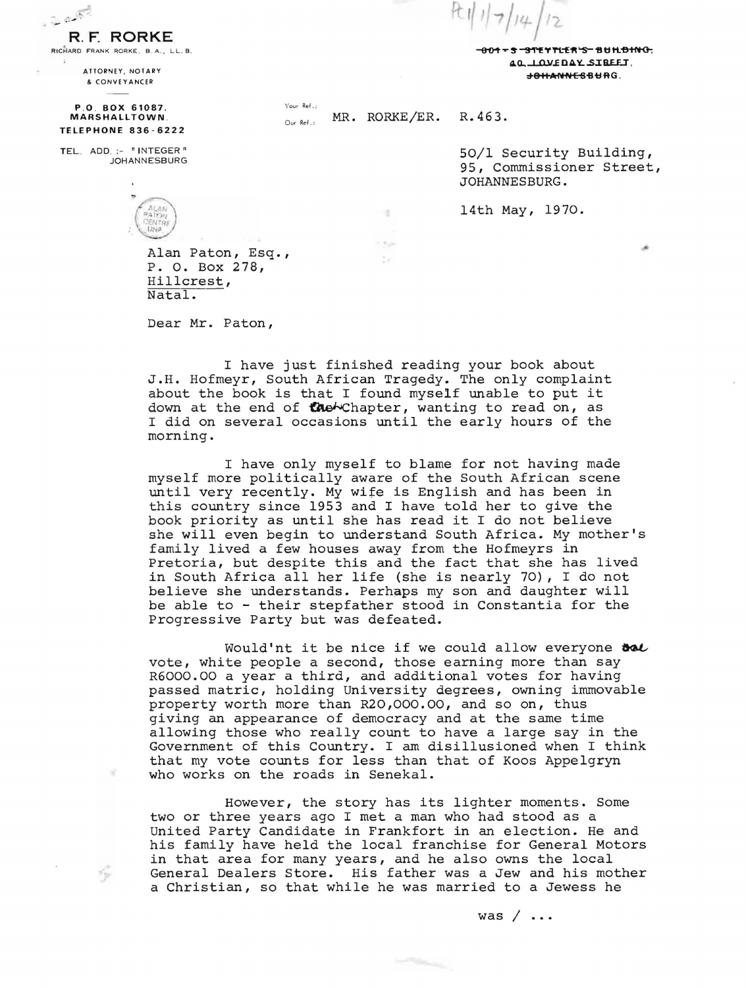\*\*\*\*\*\*\*\*\*\*\*\*\*\*\*\*\*\*\*\*\*\*\*\*\*\*\*\*\*\*\*\*\*\*\*\* 40. LOVEDAY SIBEET.  $+0$ HANNESBURG.

& CONVEYANCER P.O. BOX 61087.

**R. F. RORKE**<br>RICHARD FRANK RORKE. B. A., LL. B.

ATTORNEY , NOTARY

MARSHALLTOWN . TELEPHONE 836 - 6222

TEL. ADD. :- "INTEGER" JOHANNESBURG

16<sup>2</sup>

榉

Alan Paton, Esq., P. O. Box 278, Hillcrest, Natal.

Dear Mr. Paton,

I have just finished reading your book about J.H. Hofmeyr, South African Tragedy. The only complaint about the book is that I found myself unable to put it down at the end of the Chapter, wanting to read on, as I did on several occasions until the early hours of the morning.

I have only myself to blame for not having made myself more politically aware of the South African scene until very recently. My wife is English and has been in this country since 1953 and I have told her to give the book priority as until she has read it I do not believe she will even begin to understand South Africa. My mother's family lived a few houses away from the Hofmeyrs in Pretoria, but despite this and the fact that she has lived in South Africa all her life (she is nearly 70), I do not believe she understands. Perhaps my son and daughter will be able to - their stepfather stood in Constantia for the Progressive Party but was defeated.

Would'nt it be nice if we could allow everyone  $\boldsymbol{\delta\omega}$ vote, white people a second, those earning more than say R6000.00 a year a third, and additional votes for having passed matric, holding University degrees, owning immovable property worth more than R20,000.00, and so on, thus giving an appearance of democracy and at the same time allowing those who really count to have a large say in the Government of this Country. I am disillusioned when I think that my vote counts for less than that of Koos Appelgryn who works on the roads in Senekal.

However, the story has its lighter moments. Some two or three years ago I met a man who had stood as a United Party Candidate in Frankfort in an election. He and his family have held the local franchise for General Motors in that area for many years, and he also owns the local General Dealers Store. His father was a Jew and his mother a Christian, so that while he was married to a Jewess he

 $\label{eq:1} \begin{split} \frac{1}{\left(1-\frac{1}{2}\right)^{2}}\sum_{i=1}^{n}\sum_{i=1}^{n}\sum_{j=1}^{n}\sum_{i=1}^{n}\sum_{i=1}^{n}\sum_{i=1}^{n}\sum_{i=1}^{n}\sum_{j=1}^{n}\sum_{i=1}^{n}\sum_{j=1}^{n}\sum_{j=1}^{n}\sum_{i=1}^{n}\sum_{j=1}^{n}\sum_{j=1}^{n}\sum_{i=1}^{n}\sum_{j=1}^{n}\sum_{j=1}^{n}\sum_{j=1}^{n}\sum_{j=1}^{n}\sum_{j=1}^{n}\sum_{j=1}$ 

was  $/ \ldots$ 

<sup>~</sup>.. -- rt\_ 'I I} 7/

MR. RORKE/ER. R.463.

 $\sim 1$ 

ča

50/1 Security Building, 95, Commissioner Street, JOHANNESBURG.

ä

14th May, 1970.

Your Ref .;

Our Ref . :